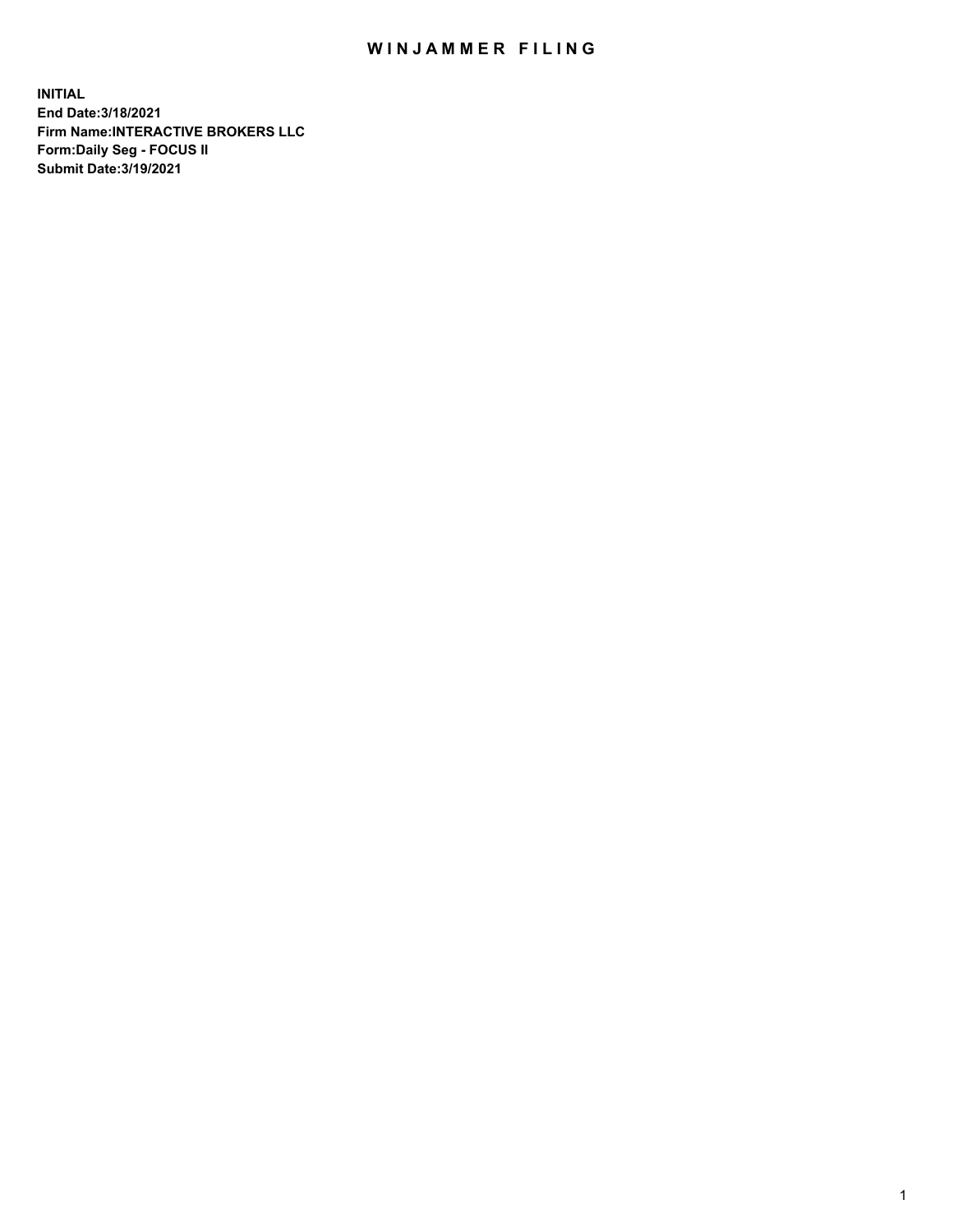## WIN JAMMER FILING

**INITIAL End Date:3/18/2021 Firm Name:INTERACTIVE BROKERS LLC Form:Daily Seg - FOCUS II Submit Date:3/19/2021**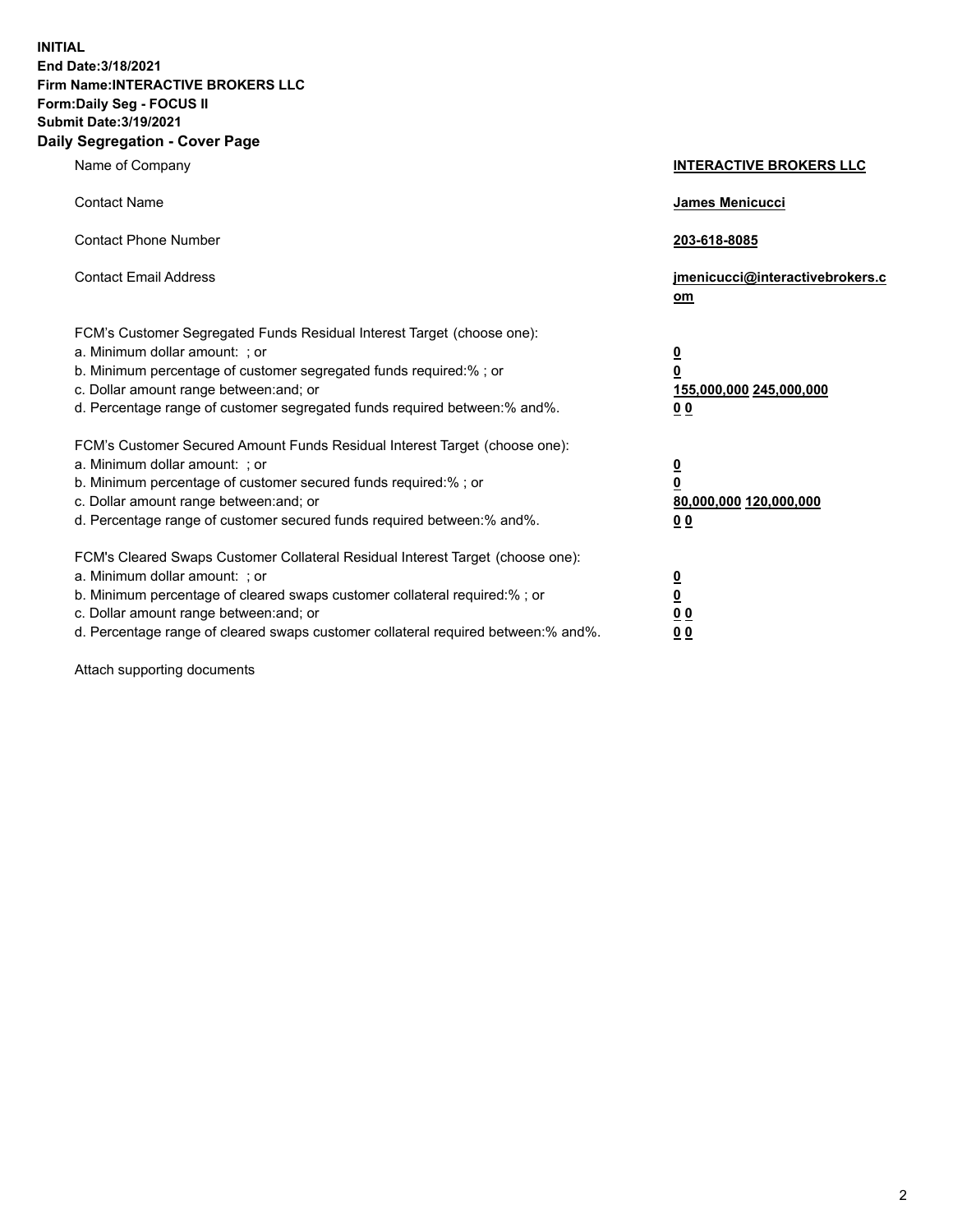**INITIAL End Date:3/18/2021 Firm Name:INTERACTIVE BROKERS LLC Form:Daily Seg - FOCUS II Submit Date:3/19/2021 Daily Segregation - Cover Page**

| Name of Company                                                                                                                                                                                                                                                                                                                | <b>INTERACTIVE BROKERS LLC</b>                                                                  |  |
|--------------------------------------------------------------------------------------------------------------------------------------------------------------------------------------------------------------------------------------------------------------------------------------------------------------------------------|-------------------------------------------------------------------------------------------------|--|
| <b>Contact Name</b>                                                                                                                                                                                                                                                                                                            | James Menicucci                                                                                 |  |
| <b>Contact Phone Number</b>                                                                                                                                                                                                                                                                                                    | 203-618-8085                                                                                    |  |
| <b>Contact Email Address</b>                                                                                                                                                                                                                                                                                                   | jmenicucci@interactivebrokers.c<br>om                                                           |  |
| FCM's Customer Segregated Funds Residual Interest Target (choose one):<br>a. Minimum dollar amount: ; or<br>b. Minimum percentage of customer segregated funds required:% ; or<br>c. Dollar amount range between: and; or<br>d. Percentage range of customer segregated funds required between:% and%.                         | $\overline{\mathbf{0}}$<br>$\overline{\mathbf{0}}$<br>155,000,000 245,000,000<br>0 <sub>0</sub> |  |
| FCM's Customer Secured Amount Funds Residual Interest Target (choose one):<br>a. Minimum dollar amount: ; or<br>b. Minimum percentage of customer secured funds required:% ; or<br>c. Dollar amount range between: and; or<br>d. Percentage range of customer secured funds required between:% and%.                           | $\overline{\mathbf{0}}$<br>0<br>80,000,000 120,000,000<br>0 <sub>0</sub>                        |  |
| FCM's Cleared Swaps Customer Collateral Residual Interest Target (choose one):<br>a. Minimum dollar amount: ; or<br>b. Minimum percentage of cleared swaps customer collateral required:% ; or<br>c. Dollar amount range between: and; or<br>d. Percentage range of cleared swaps customer collateral required between:% and%. | $\overline{\mathbf{0}}$<br><u>0</u><br>$\underline{0}$ $\underline{0}$<br>00                    |  |

Attach supporting documents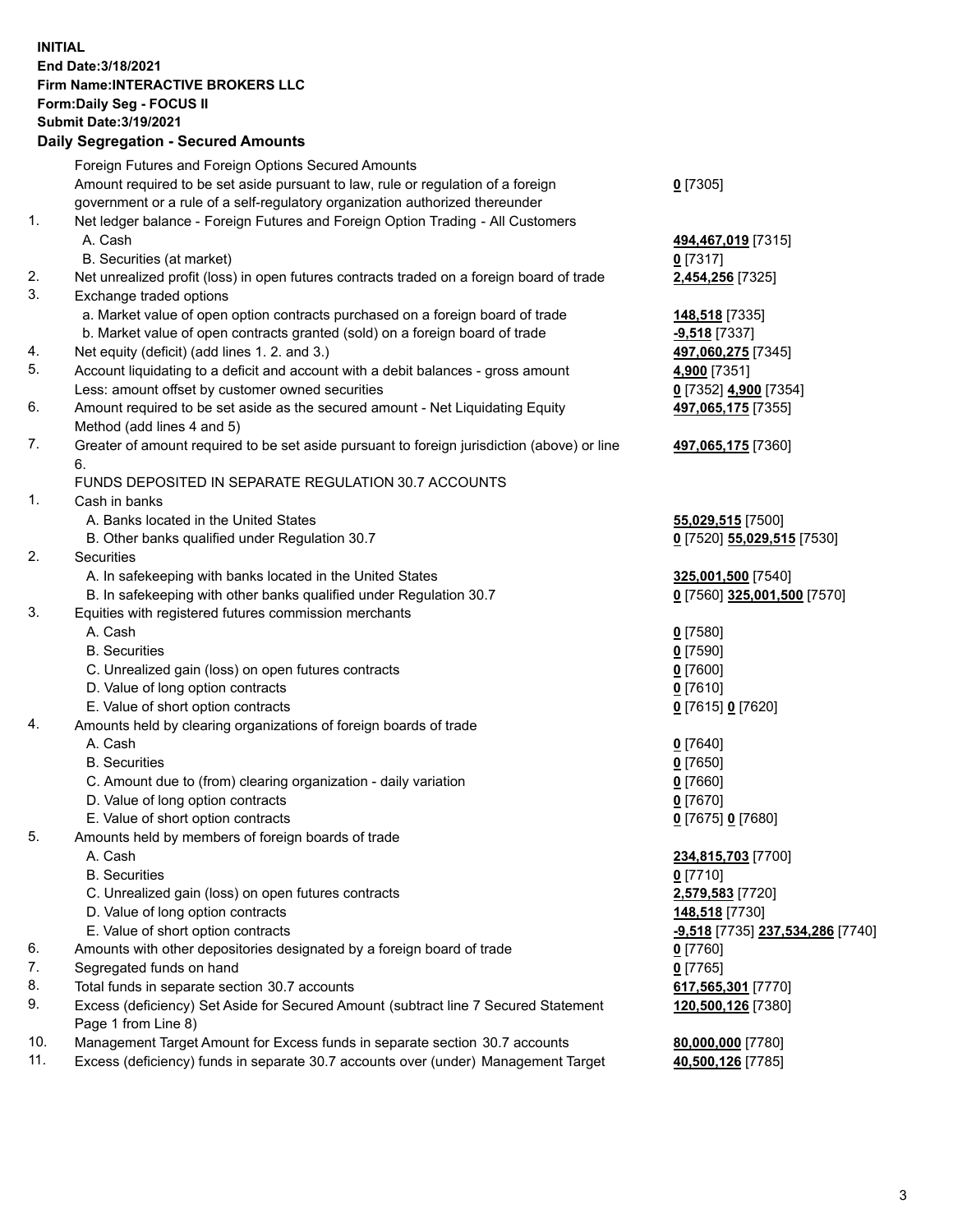**INITIAL End Date:3/18/2021 Firm Name:INTERACTIVE BROKERS LLC Form:Daily Seg - FOCUS II Submit Date:3/19/2021 Daily Segregation - Secured Amounts**

## Foreign Futures and Foreign Options Secured Amounts Amount required to be set aside pursuant to law, rule or regulation of a foreign government or a rule of a self-regulatory organization authorized thereunder **0** [7305] 1. Net ledger balance - Foreign Futures and Foreign Option Trading - All Customers A. Cash **494,467,019** [7315] B. Securities (at market) **0** [7317] 2. Net unrealized profit (loss) in open futures contracts traded on a foreign board of trade **2,454,256** [7325] 3. Exchange traded options a. Market value of open option contracts purchased on a foreign board of trade **148,518** [7335] b. Market value of open contracts granted (sold) on a foreign board of trade **-9,518** [7337] 4. Net equity (deficit) (add lines 1. 2. and 3.) **497,060,275** [7345] 5. Account liquidating to a deficit and account with a debit balances - gross amount **4,900** [7351] Less: amount offset by customer owned securities **0** [7352] **4,900** [7354] 6. Amount required to be set aside as the secured amount - Net Liquidating Equity Method (add lines 4 and 5) **497,065,175** [7355] 7. Greater of amount required to be set aside pursuant to foreign jurisdiction (above) or line 6. **497,065,175** [7360] FUNDS DEPOSITED IN SEPARATE REGULATION 30.7 ACCOUNTS 1. Cash in banks A. Banks located in the United States **55,029,515** [7500] B. Other banks qualified under Regulation 30.7 **0** [7520] **55,029,515** [7530] 2. Securities A. In safekeeping with banks located in the United States **325,001,500** [7540] B. In safekeeping with other banks qualified under Regulation 30.7 **0** [7560] **325,001,500** [7570] 3. Equities with registered futures commission merchants A. Cash **0** [7580] B. Securities **0** [7590] C. Unrealized gain (loss) on open futures contracts **0** [7600] D. Value of long option contracts **0** [7610] E. Value of short option contracts **0** [7615] **0** [7620] 4. Amounts held by clearing organizations of foreign boards of trade A. Cash **0** [7640] B. Securities **0** [7650] C. Amount due to (from) clearing organization - daily variation **0** [7660] D. Value of long option contracts **0** [7670] E. Value of short option contracts **0** [7675] **0** [7680] 5. Amounts held by members of foreign boards of trade A. Cash **234,815,703** [7700] B. Securities **0** [7710] C. Unrealized gain (loss) on open futures contracts **2,579,583** [7720] D. Value of long option contracts **148,518** [7730] E. Value of short option contracts **-9,518** [7735] **237,534,286** [7740] 6. Amounts with other depositories designated by a foreign board of trade **0** [7760] 7. Segregated funds on hand **0** [7765] 8. Total funds in separate section 30.7 accounts **617,565,301** [7770] 9. Excess (deficiency) Set Aside for Secured Amount (subtract line 7 Secured Statement Page 1 from Line 8) **120,500,126** [7380] 10. Management Target Amount for Excess funds in separate section 30.7 accounts **80,000,000** [7780] 11. Excess (deficiency) funds in separate 30.7 accounts over (under) Management Target **40,500,126** [7785]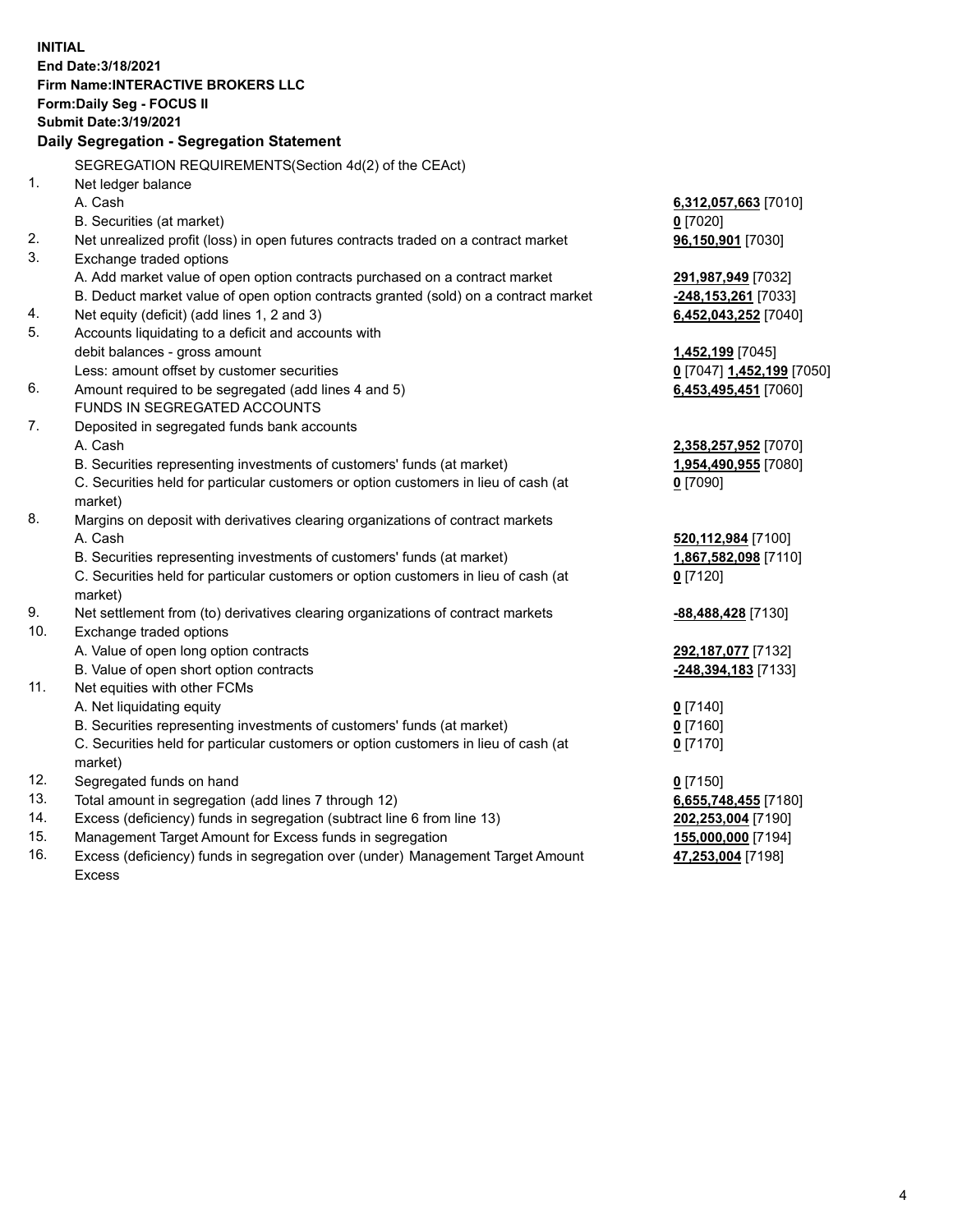**INITIAL End Date:3/18/2021 Firm Name:INTERACTIVE BROKERS LLC Form:Daily Seg - FOCUS II Submit Date:3/19/2021 Daily Segregation - Segregation Statement** SEGREGATION REQUIREMENTS(Section 4d(2) of the CEAct) 1. Net ledger balance A. Cash **6,312,057,663** [7010] B. Securities (at market) **0** [7020] 2. Net unrealized profit (loss) in open futures contracts traded on a contract market **96,150,901** [7030] 3. Exchange traded options A. Add market value of open option contracts purchased on a contract market **291,987,949** [7032] B. Deduct market value of open option contracts granted (sold) on a contract market **-248,153,261** [7033] 4. Net equity (deficit) (add lines 1, 2 and 3) **6,452,043,252** [7040] 5. Accounts liquidating to a deficit and accounts with debit balances - gross amount **1,452,199** [7045] Less: amount offset by customer securities **0** [7047] **1,452,199** [7050] 6. Amount required to be segregated (add lines 4 and 5) **6,453,495,451** [7060] FUNDS IN SEGREGATED ACCOUNTS 7. Deposited in segregated funds bank accounts A. Cash **2,358,257,952** [7070] B. Securities representing investments of customers' funds (at market) **1,954,490,955** [7080] C. Securities held for particular customers or option customers in lieu of cash (at market) **0** [7090] 8. Margins on deposit with derivatives clearing organizations of contract markets A. Cash **520,112,984** [7100] B. Securities representing investments of customers' funds (at market) **1,867,582,098** [7110] C. Securities held for particular customers or option customers in lieu of cash (at market) **0** [7120] 9. Net settlement from (to) derivatives clearing organizations of contract markets **-88,488,428** [7130] 10. Exchange traded options A. Value of open long option contracts **292,187,077** [7132] B. Value of open short option contracts **-248,394,183** [7133] 11. Net equities with other FCMs A. Net liquidating equity **0** [7140] B. Securities representing investments of customers' funds (at market) **0** [7160] C. Securities held for particular customers or option customers in lieu of cash (at market) **0** [7170] 12. Segregated funds on hand **0** [7150] 13. Total amount in segregation (add lines 7 through 12) **6,655,748,455** [7180] 14. Excess (deficiency) funds in segregation (subtract line 6 from line 13) **202,253,004** [7190] 15. Management Target Amount for Excess funds in segregation **155,000,000** [7194] 16. Excess (deficiency) funds in segregation over (under) Management Target Amount **47,253,004** [7198]

Excess